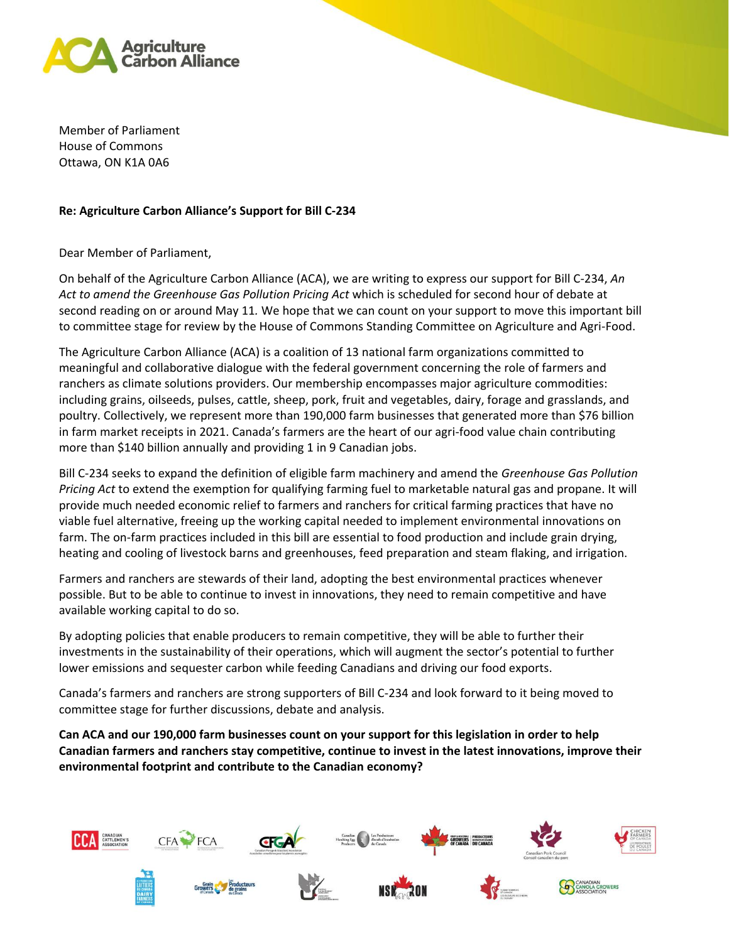

Member of Parliament House of Commons Ottawa, ON K1A 0A6

## **Re: Agriculture Carbon Alliance's Support for Bill C-234**

## Dear Member of Parliament,

On behalf of the Agriculture Carbon Alliance (ACA), we are writing to express our support for Bill C-234, *An Act to amend the Greenhouse Gas Pollution Pricing Act* which is scheduled for second hour of debate at second reading on or around May 11*.* We hope that we can count on your support to move this important bill to committee stage for review by the House of Commons Standing Committee on Agriculture and Agri-Food.

The Agriculture Carbon Alliance (ACA) is a coalition of 13 national farm organizations committed to meaningful and collaborative dialogue with the federal government concerning the role of farmers and ranchers as climate solutions providers. Our membership encompasses major agriculture commodities: including grains, oilseeds, pulses, cattle, sheep, pork, fruit and vegetables, dairy, forage and grasslands, and poultry. Collectively, we represent more than 190,000 farm businesses that generated more than \$76 billion in farm market receipts in 2021. Canada's farmers are the heart of our agri-food value chain contributing more than \$140 billion annually and providing 1 in 9 Canadian jobs.

Bill C-234 seeks to expand the definition of eligible farm machinery and amend the *Greenhouse Gas Pollution Pricing Act* to extend the exemption for qualifying farming fuel to marketable natural gas and propane. It will provide much needed economic relief to farmers and ranchers for critical farming practices that have no viable fuel alternative, freeing up the working capital needed to implement environmental innovations on farm. The on-farm practices included in this bill are essential to food production and include grain drying, heating and cooling of livestock barns and greenhouses, feed preparation and steam flaking, and irrigation.

Farmers and ranchers are stewards of their land, adopting the best environmental practices whenever possible. But to be able to continue to invest in innovations, they need to remain competitive and have available working capital to do so.

By adopting policies that enable producers to remain competitive, they will be able to further their investments in the sustainability of their operations, which will augment the sector's potential to further lower emissions and sequester carbon while feeding Canadians and driving our food exports.

Canada's farmers and ranchers are strong supporters of Bill C-234 and look forward to it being moved to committee stage for further discussions, debate and analysis.

**Can ACA and our 190,000 farm businesses count on your support for this legislation in order to help Canadian farmers and ranchers stay competitive, continue to invest in the latest innovations, improve their environmental footprint and contribute to the Canadian economy?**